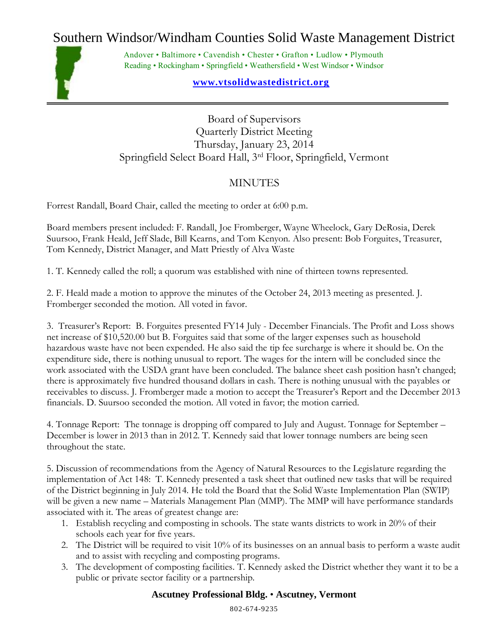## Southern Windsor/Windham Counties Solid Waste Management District



Andover • Baltimore • Cavendish • Chester • Grafton • Ludlow • Plymouth Reading • Rockingham • Springfield • Weathersfield • West Windsor • Windsor

## **[www.vtsolidwastedistrict.org](http://www.vtsolidwastedistrict.org/)**

Board of Supervisors Quarterly District Meeting Thursday, January 23, 2014 Springfield Select Board Hall, 3rd Floor, Springfield, Vermont

## **MINUTES**

Forrest Randall, Board Chair, called the meeting to order at 6:00 p.m.

Board members present included: F. Randall, Joe Fromberger, Wayne Wheelock, Gary DeRosia, Derek Suursoo, Frank Heald, Jeff Slade, Bill Kearns, and Tom Kenyon. Also present: Bob Forguites, Treasurer, Tom Kennedy, District Manager, and Matt Priestly of Alva Waste

1. T. Kennedy called the roll; a quorum was established with nine of thirteen towns represented.

2. F. Heald made a motion to approve the minutes of the October 24, 2013 meeting as presented. J. Fromberger seconded the motion. All voted in favor.

3. Treasurer's Report: B. Forguites presented FY14 July - December Financials. The Profit and Loss shows net increase of \$10,520.00 but B. Forguites said that some of the larger expenses such as household hazardous waste have not been expended. He also said the tip fee surcharge is where it should be. On the expenditure side, there is nothing unusual to report. The wages for the intern will be concluded since the work associated with the USDA grant have been concluded. The balance sheet cash position hasn't changed; there is approximately five hundred thousand dollars in cash. There is nothing unusual with the payables or receivables to discuss. J. Fromberger made a motion to accept the Treasurer's Report and the December 2013 financials. D. Suursoo seconded the motion. All voted in favor; the motion carried.

4. Tonnage Report: The tonnage is dropping off compared to July and August. Tonnage for September – December is lower in 2013 than in 2012. T. Kennedy said that lower tonnage numbers are being seen throughout the state.

5. Discussion of recommendations from the Agency of Natural Resources to the Legislature regarding the implementation of Act 148: T. Kennedy presented a task sheet that outlined new tasks that will be required of the District beginning in July 2014. He told the Board that the Solid Waste Implementation Plan (SWIP) will be given a new name – Materials Management Plan (MMP). The MMP will have performance standards associated with it. The areas of greatest change are:

- 1. Establish recycling and composting in schools. The state wants districts to work in 20% of their schools each year for five years.
- 2. The District will be required to visit 10% of its businesses on an annual basis to perform a waste audit and to assist with recycling and composting programs.
- 3. The development of composting facilities. T. Kennedy asked the District whether they want it to be a public or private sector facility or a partnership.

## **Ascutney Professional Bldg.** • **Ascutney, Vermont**